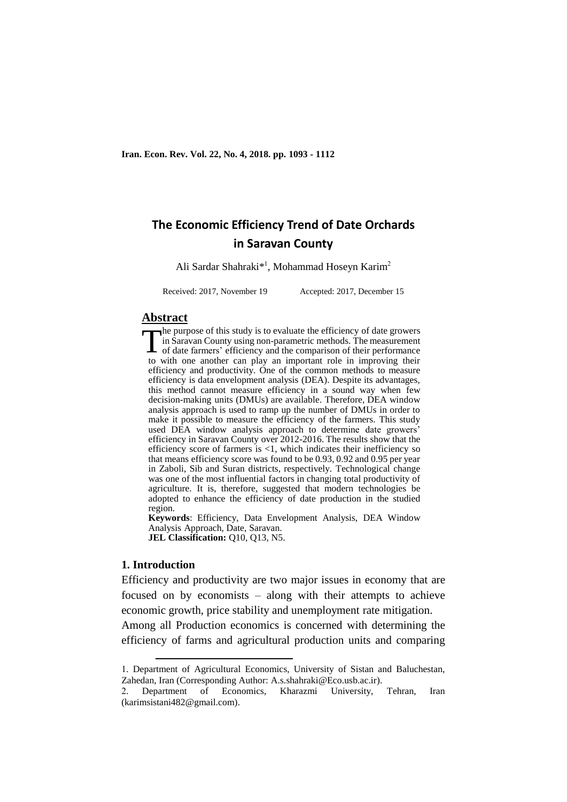# **The Economic Efficiency Trend of Date Orchards in Saravan County**

Ali Sardar Shahraki\*<sup>1</sup>, Mohammad Hoseyn Karim<sup>2</sup>

Received: 2017, November 19 Accepted: 2017, December 15

#### **Abstract**

he purpose of this study is to evaluate the efficiency of date growers in Saravan County using non-parametric methods. The measurement The purpose of this study is to evaluate the efficiency of date growers<br>in Saravan County using non-parametric methods. The measurement<br>of date farmers' efficiency and the comparison of their performance<br>the mithto with one another can play an important role in improving their efficiency and productivity. One of the common methods to measure efficiency is data envelopment analysis (DEA). Despite its advantages, this method cannot measure efficiency in a sound way when few decision-making units (DMUs) are available. Therefore, DEA window analysis approach is used to ramp up the number of DMUs in order to make it possible to measure the efficiency of the farmers. This study used DEA window analysis approach to determine date growers' efficiency in Saravan County over 2012-2016. The results show that the efficiency score of farmers is <1, which indicates their inefficiency so that means efficiency score was found to be 0.93, 0.92 and 0.95 per year in Zaboli, Sib and Suran districts, respectively. Technological change was one of the most influential factors in changing total productivity of agriculture. It is, therefore, suggested that modern technologies be adopted to enhance the efficiency of date production in the studied region.

**Keywords**: Efficiency, Data Envelopment Analysis, DEA Window Analysis Approach, Date, Saravan. **JEL Classification: Q10, Q13, N5.** 

#### **1. Introduction**

1

Efficiency and productivity are two major issues in economy that are focused on by economists – along with their attempts to achieve economic growth, price stability and unemployment rate mitigation.

Among all Production economics is concerned with determining the efficiency of farms and agricultural production units and comparing

<sup>1.</sup> Department of Agricultural Economics, University of Sistan and Baluchestan, Zahedan, Iran (Corresponding Author: A.s.shahraki@Eco.usb.ac.ir).

<sup>2.</sup> Department of Economics, Kharazmi University, Tehran, Iran (karimsistani482@gmail.com).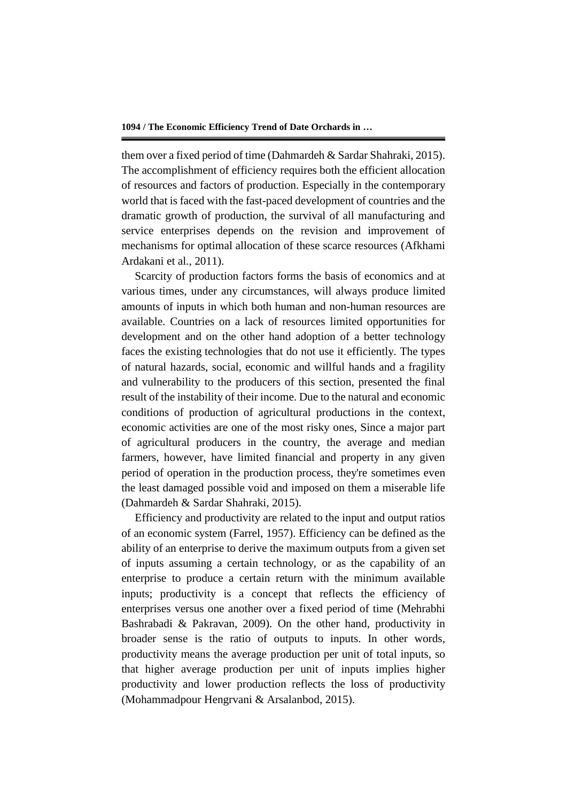them over a fixed period of time (Dahmardeh & Sardar Shahraki, 2015). The accomplishment of efficiency requires both the efficient allocation of resources and factors of production. Especially in the contemporary world that is faced with the fast-paced development of countries and the dramatic growth of production, the survival of all manufacturing and service enterprises depends on the revision and improvement of mechanisms for optimal allocation of these scarce resources (Afkhami Ardakani et al., 2011).

Scarcity of production factors forms the basis of economics and at various times, under any circumstances, will always produce limited amounts of inputs in which both human and non-human resources are available. Countries on a lack of resources limited opportunities for development and on the other hand adoption of a better technology faces the existing technologies that do not use it efficiently. The types of natural hazards, social, economic and willful hands and a fragility and vulnerability to the producers of this section, presented the final result of the instability of their income. Due to the natural and economic conditions of production of agricultural productions in the context, economic activities are one of the most risky ones, Since a major part of agricultural producers in the country, the average and median farmers, however, have limited financial and property in any given period of operation in the production process, they're sometimes even the least damaged possible void and imposed on them a miserable life (Dahmardeh & Sardar Shahraki, 2015).

Efficiency and productivity are related to the input and output ratios of an economic system (Farrel, 1957). Efficiency can be defined as the ability of an enterprise to derive the maximum outputs from a given set of inputs assuming a certain technology, or as the capability of an enterprise to produce a certain return with the minimum available inputs; productivity is a concept that reflects the efficiency of enterprises versus one another over a fixed period of time (Mehrabhi Bashrabadi & Pakravan, 2009). On the other hand, productivity in broader sense is the ratio of outputs to inputs. In other words, productivity means the average production per unit of total inputs, so that higher average production per unit of inputs implies higher productivity and lower production reflects the loss of productivity (Mohammadpour Hengrvani & Arsalanbod, 2015).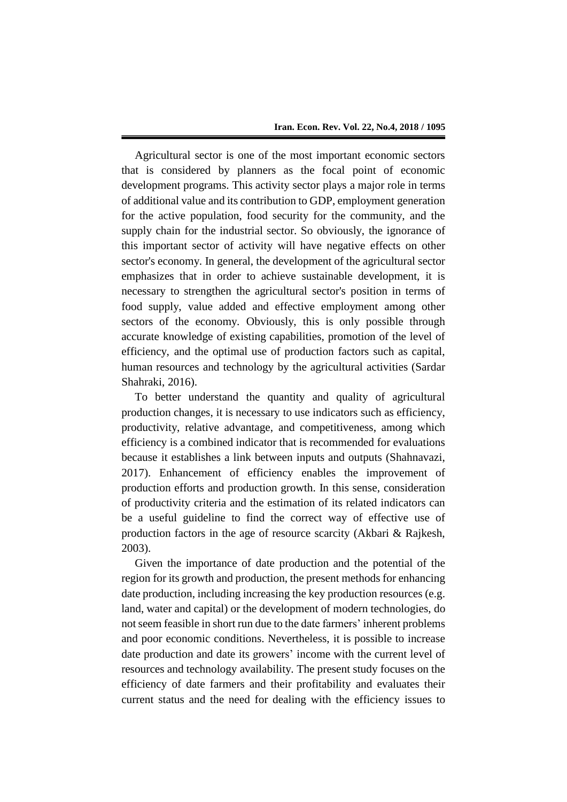Agricultural sector is one of the most important economic sectors that is considered by planners as the focal point of economic development programs. This activity sector plays a major role in terms of additional value and its contribution to GDP, employment generation for the active population, food security for the community, and the supply chain for the industrial sector. So obviously, the ignorance of this important sector of activity will have negative effects on other sector's economy. In general, the development of the agricultural sector emphasizes that in order to achieve sustainable development, it is necessary to strengthen the agricultural sector's position in terms of food supply, value added and effective employment among other sectors of the economy. Obviously, this is only possible through accurate knowledge of existing capabilities, promotion of the level of efficiency, and the optimal use of production factors such as capital, human resources and technology by the agricultural activities (Sardar Shahraki, 2016).

To better understand the quantity and quality of agricultural production changes, it is necessary to use indicators such as efficiency, productivity, relative advantage, and competitiveness, among which efficiency is a combined indicator that is recommended for evaluations because it establishes a link between inputs and outputs (Shahnavazi, 2017). Enhancement of efficiency enables the improvement of production efforts and production growth. In this sense, consideration of productivity criteria and the estimation of its related indicators can be a useful guideline to find the correct way of effective use of production factors in the age of resource scarcity (Akbari & Rajkesh, 2003).

Given the importance of date production and the potential of the region for its growth and production, the present methods for enhancing date production, including increasing the key production resources (e.g. land, water and capital) or the development of modern technologies, do not seem feasible in short run due to the date farmers' inherent problems and poor economic conditions. Nevertheless, it is possible to increase date production and date its growers' income with the current level of resources and technology availability. The present study focuses on the efficiency of date farmers and their profitability and evaluates their current status and the need for dealing with the efficiency issues to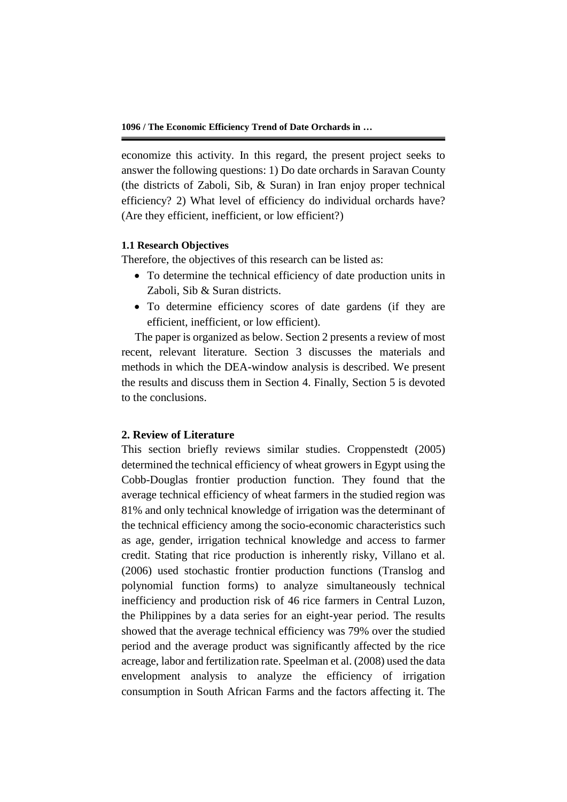economize this activity. In this regard, the present project seeks to answer the following questions: 1) Do date orchards in Saravan County (the districts of Zaboli, Sib, & Suran) in Iran enjoy proper technical efficiency? 2) What level of efficiency do individual orchards have? (Are they efficient, inefficient, or low efficient?)

# **1.1 Research Objectives**

Therefore, the objectives of this research can be listed as:

- To determine the technical efficiency of date production units in Zaboli, Sib & Suran districts.
- To determine efficiency scores of date gardens (if they are efficient, inefficient, or low efficient).

The paper is organized as below. Section 2 presents a review of most recent, relevant literature. Section 3 discusses the materials and methods in which the DEA-window analysis is described. We present the results and discuss them in Section 4. Finally, Section 5 is devoted to the conclusions.

# **2. Review of Literature**

This section briefly reviews similar studies. Croppenstedt (2005) determined the technical efficiency of wheat growers in Egypt using the Cobb-Douglas frontier production function. They found that the average technical efficiency of wheat farmers in the studied region was 81% and only technical knowledge of irrigation was the determinant of the technical efficiency among the socio-economic characteristics such as age, gender, irrigation technical knowledge and access to farmer credit. Stating that rice production is inherently risky, Villano et al. (2006) used stochastic frontier production functions (Translog and polynomial function forms) to analyze simultaneously technical inefficiency and production risk of 46 rice farmers in Central Luzon, the Philippines by a data series for an eight-year period. The results showed that the average technical efficiency was 79% over the studied period and the average product was significantly affected by the rice acreage, labor and fertilization rate. Speelman et al. (2008) used the data envelopment analysis to analyze the efficiency of irrigation consumption in South African Farms and the factors affecting it. The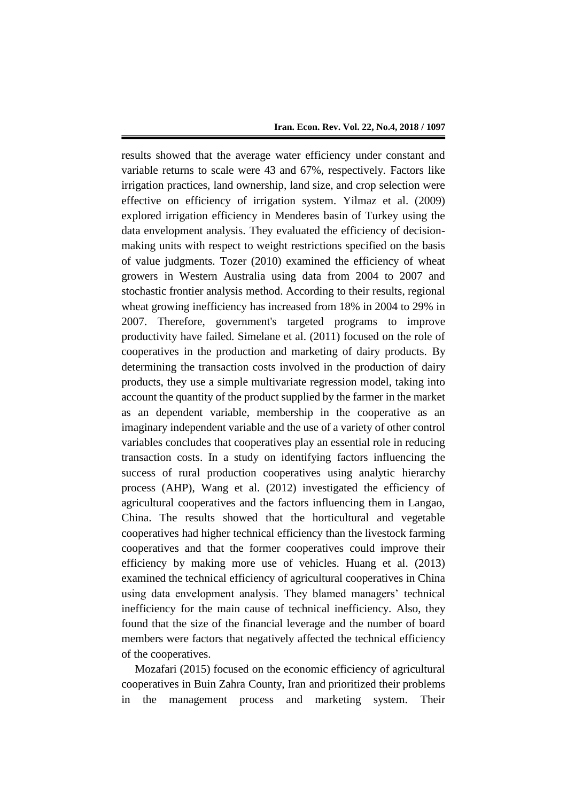results showed that the average water efficiency under constant and variable returns to scale were 43 and 67%, respectively. Factors like irrigation practices, land ownership, land size, and crop selection were effective on efficiency of irrigation system. Yilmaz et al. (2009) explored irrigation efficiency in Menderes basin of Turkey using the data envelopment analysis. They evaluated the efficiency of decisionmaking units with respect to weight restrictions specified on the basis of value judgments. Tozer (2010) examined the efficiency of wheat growers in Western Australia using data from 2004 to 2007 and stochastic frontier analysis method. According to their results, regional wheat growing inefficiency has increased from 18% in 2004 to 29% in 2007. Therefore, government's targeted programs to improve productivity have failed. Simelane et al. (2011) focused on the role of cooperatives in the production and marketing of dairy products. By determining the transaction costs involved in the production of dairy products, they use a simple multivariate regression model, taking into account the quantity of the product supplied by the farmer in the market as an dependent variable, membership in the cooperative as an imaginary independent variable and the use of a variety of other control variables concludes that cooperatives play an essential role in reducing transaction costs. In a study on identifying factors influencing the success of rural production cooperatives using analytic hierarchy process (AHP), Wang et al. (2012) investigated the efficiency of agricultural cooperatives and the factors influencing them in Langao, China. The results showed that the horticultural and vegetable cooperatives had higher technical efficiency than the livestock farming cooperatives and that the former cooperatives could improve their efficiency by making more use of vehicles. Huang et al. (2013) examined the technical efficiency of agricultural cooperatives in China using data envelopment analysis. They blamed managers' technical inefficiency for the main cause of technical inefficiency. Also, they found that the size of the financial leverage and the number of board members were factors that negatively affected the technical efficiency of the cooperatives.

Mozafari (2015) focused on the economic efficiency of agricultural cooperatives in Buin Zahra County, Iran and prioritized their problems in the management process and marketing system. Their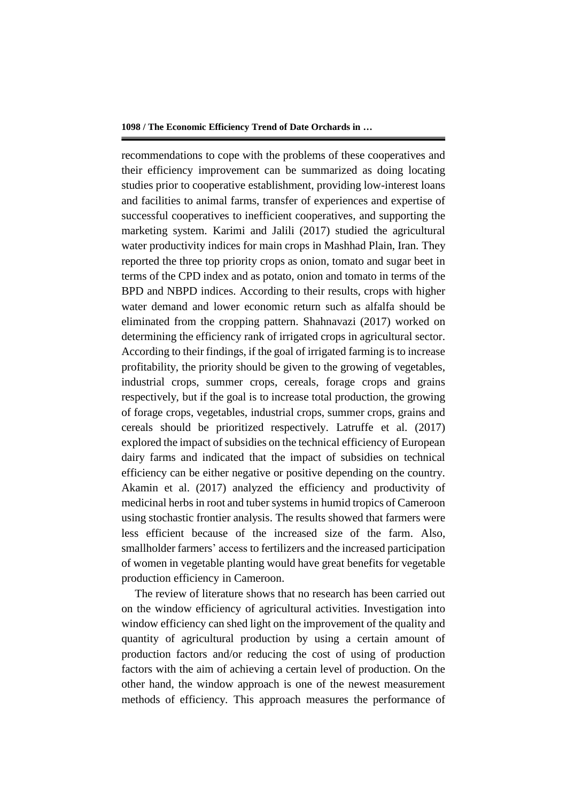recommendations to cope with the problems of these cooperatives and their efficiency improvement can be summarized as doing locating studies prior to cooperative establishment, providing low-interest loans and facilities to animal farms, transfer of experiences and expertise of successful cooperatives to inefficient cooperatives, and supporting the marketing system. Karimi and Jalili (2017) studied the agricultural water productivity indices for main crops in Mashhad Plain, Iran. They reported the three top priority crops as onion, tomato and sugar beet in terms of the CPD index and as potato, onion and tomato in terms of the BPD and NBPD indices. According to their results, crops with higher water demand and lower economic return such as alfalfa should be eliminated from the cropping pattern. Shahnavazi (2017) worked on determining the efficiency rank of irrigated crops in agricultural sector. According to their findings, if the goal of irrigated farming is to increase profitability, the priority should be given to the growing of vegetables, industrial crops, summer crops, cereals, forage crops and grains respectively, but if the goal is to increase total production, the growing of forage crops, vegetables, industrial crops, summer crops, grains and cereals should be prioritized respectively. Latruffe et al. (2017) explored the impact of subsidies on the technical efficiency of European dairy farms and indicated that the impact of subsidies on technical efficiency can be either negative or positive depending on the country. Akamin et al. (2017) analyzed the efficiency and productivity of medicinal herbs in root and tuber systems in humid tropics of Cameroon using stochastic frontier analysis. The results showed that farmers were less efficient because of the increased size of the farm. Also, smallholder farmers' access to fertilizers and the increased participation of women in vegetable planting would have great benefits for vegetable production efficiency in Cameroon.

The review of literature shows that no research has been carried out on the window efficiency of agricultural activities. Investigation into window efficiency can shed light on the improvement of the quality and quantity of agricultural production by using a certain amount of production factors and/or reducing the cost of using of production factors with the aim of achieving a certain level of production. On the other hand, the window approach is one of the newest measurement methods of efficiency. This approach measures the performance of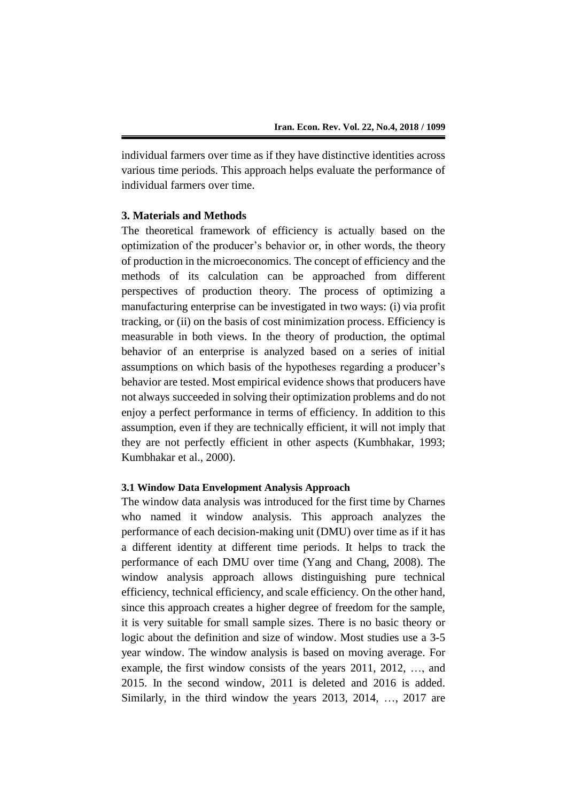individual farmers over time as if they have distinctive identities across various time periods. This approach helps evaluate the performance of individual farmers over time.

# **3. Materials and Methods**

The theoretical framework of efficiency is actually based on the optimization of the producer's behavior or, in other words, the theory of production in the microeconomics. The concept of efficiency and the methods of its calculation can be approached from different perspectives of production theory. The process of optimizing a manufacturing enterprise can be investigated in two ways: (i) via profit tracking, or (ii) on the basis of cost minimization process. Efficiency is measurable in both views. In the theory of production, the optimal behavior of an enterprise is analyzed based on a series of initial assumptions on which basis of the hypotheses regarding a producer's behavior are tested. Most empirical evidence shows that producers have not always succeeded in solving their optimization problems and do not enjoy a perfect performance in terms of efficiency. In addition to this assumption, even if they are technically efficient, it will not imply that they are not perfectly efficient in other aspects (Kumbhakar, 1993; Kumbhakar et al., 2000).

### **3.1 Window Data Envelopment Analysis Approach**

The window data analysis was introduced for the first time by Charnes who named it window analysis. This approach analyzes the performance of each decision-making unit (DMU) over time as if it has a different identity at different time periods. It helps to track the performance of each DMU over time (Yang and Chang, 2008). The window analysis approach allows distinguishing pure technical efficiency, technical efficiency, and scale efficiency. On the other hand, since this approach creates a higher degree of freedom for the sample, it is very suitable for small sample sizes. There is no basic theory or logic about the definition and size of window. Most studies use a 3-5 year window. The window analysis is based on moving average. For example, the first window consists of the years 2011, 2012, …, and 2015. In the second window, 2011 is deleted and 2016 is added. Similarly, in the third window the years 2013, 2014, …, 2017 are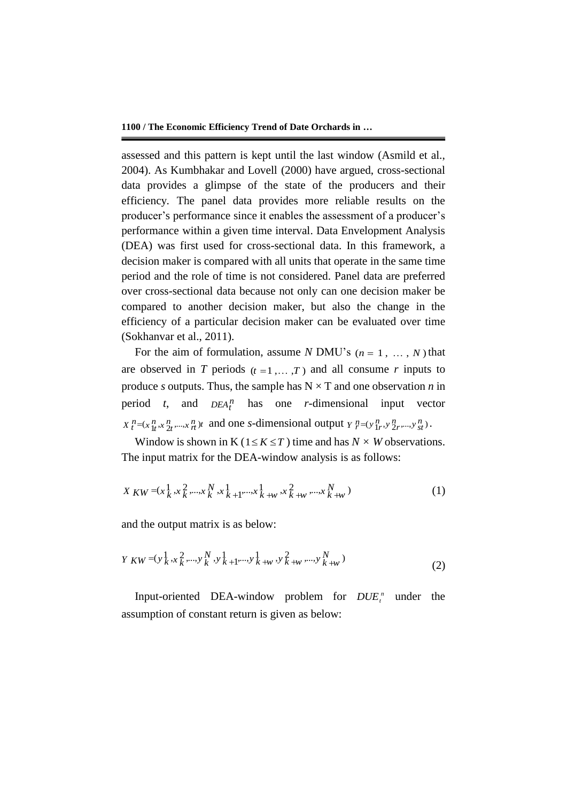assessed and this pattern is kept until the last window (Asmild et al., 2004). As Kumbhakar and Lovell (2000) have argued, cross-sectional data provides a glimpse of the state of the producers and their efficiency. The panel data provides more reliable results on the producer's performance since it enables the assessment of a producer's performance within a given time interval. Data Envelopment Analysis (DEA) was first used for cross-sectional data. In this framework, a decision maker is compared with all units that operate in the same time period and the role of time is not considered. Panel data are preferred over cross-sectional data because not only can one decision maker be compared to another decision maker, but also the change in the efficiency of a particular decision maker can be evaluated over time (Sokhanvar et al., 2011).

For the aim of formulation, assume *N* DMU's  $(n = 1, ..., N)$  that are observed in *T* periods  $(t = 1, ..., T)$  and all consume *r* inputs to produce *s* outputs. Thus, the sample has  $N \times T$  and one observation *n* in period  $t$ , and  $DEA_t^n$  has one *r*-dimensional input vector  $X_t^n = (x_{1t}^n, x_{2t}^n, ..., x_{nt}^n)t$  and one *s*-dimensional output  $Y_t^n = (y_{1t}^n, y_{2t}^n, ..., y_{st}^n)$ .

Window is shown in K ( $1 \le K \le T$ ) time and has  $N \times W$  observations. The input matrix for the DEA-window analysis is as follows:

$$
X_{KW} = (x_k^1, x_k^2, \dots, x_k^N, x_{k+1}^1, \dots, x_{k+w}^1, x_{k+w}^2, \dots, x_{k+w}^N)
$$
\n(1)

and the output matrix is as below:

$$
Y_{KW} = (y_k^1, x_k^2, \dots, y_k^N, y_{k+1}^1, \dots, y_{k+w}^1, y_k^2, \dots, y_{k+w}^N)
$$
\n(2)

Input-oriented DEA-window problem for  $DUE<sub>t</sub><sup>n</sup>$  under the assumption of constant return is given as below: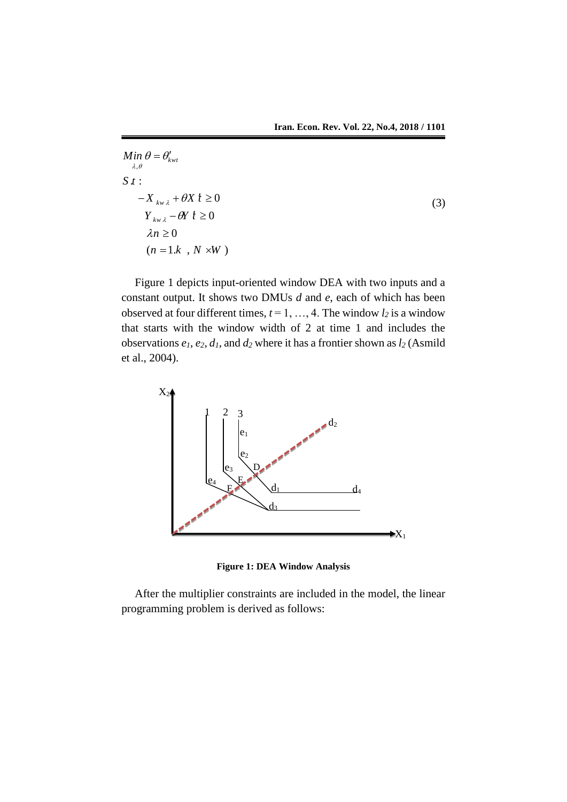(3)

$$
Min \theta = \theta'_{kwt}
$$
  
\n
$$
S t :
$$
  
\n
$$
-X_{kwt} + \theta X t \ge 0
$$
  
\n
$$
Y_{kwt} - \theta Y t \ge 0
$$
  
\n
$$
\lambda n \ge 0
$$
  
\n
$$
(n = 1.k , N \times W)
$$

Figure 1 depicts input-oriented window DEA with two inputs and a constant output. It shows two DMUs *d* and *e*, each of which has been observed at four different times,  $t = 1, ..., 4$ . The window  $l_2$  is a window that starts with the window width of 2 at time 1 and includes the observations  $e_1$ ,  $e_2$ ,  $d_1$ , and  $d_2$  where it has a frontier shown as  $l_2$  (Asmild et al., 2004).



**Figure 1: DEA Window Analysis**

After the multiplier constraints are included in the model, the linear programming problem is derived as follows: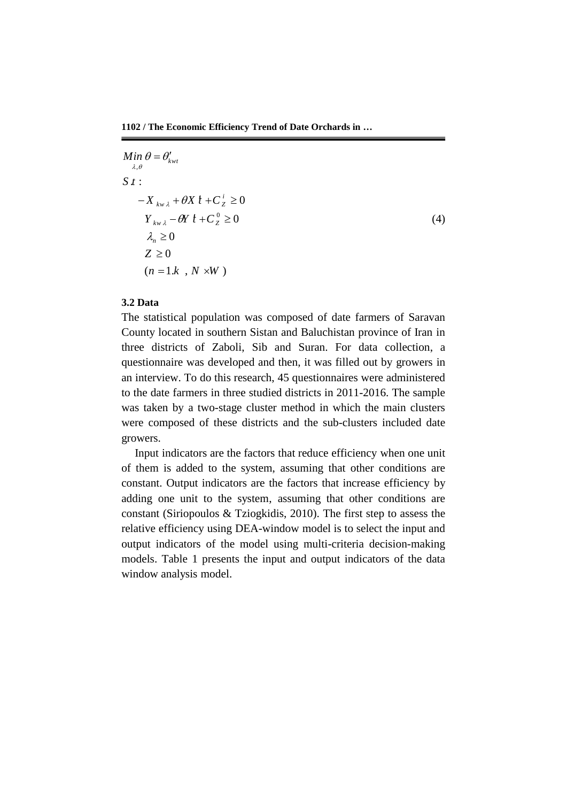$\lambda, \theta$  $Y_{kw\lambda} - \theta Y t + C_Z^0 \ge 0$  $S t:$  $-X_{kw\lambda}$  +  $\theta X$   $\hat{t}$  +  $C_{Z}^{i}$   $\geq$  0  $\lambda_{n} \geq 0$  $Z \geq 0$  $(n = 1.k, N \times W)$ *Min*  $\theta = \theta'_{kwt}$ (4)

### **3.2 Data**

The statistical population was composed of date farmers of Saravan County located in southern Sistan and Baluchistan province of Iran in three districts of Zaboli, Sib and Suran. For data collection, a questionnaire was developed and then, it was filled out by growers in an interview. To do this research, 45 questionnaires were administered to the date farmers in three studied districts in 2011-2016. The sample was taken by a two-stage cluster method in which the main clusters were composed of these districts and the sub-clusters included date growers.

Input indicators are the factors that reduce efficiency when one unit of them is added to the system, assuming that other conditions are constant. Output indicators are the factors that increase efficiency by adding one unit to the system, assuming that other conditions are constant (Siriopoulos & Tziogkidis, 2010). The first step to assess the relative efficiency using DEA-window model is to select the input and output indicators of the model using multi-criteria decision-making models. Table 1 presents the input and output indicators of the data window analysis model.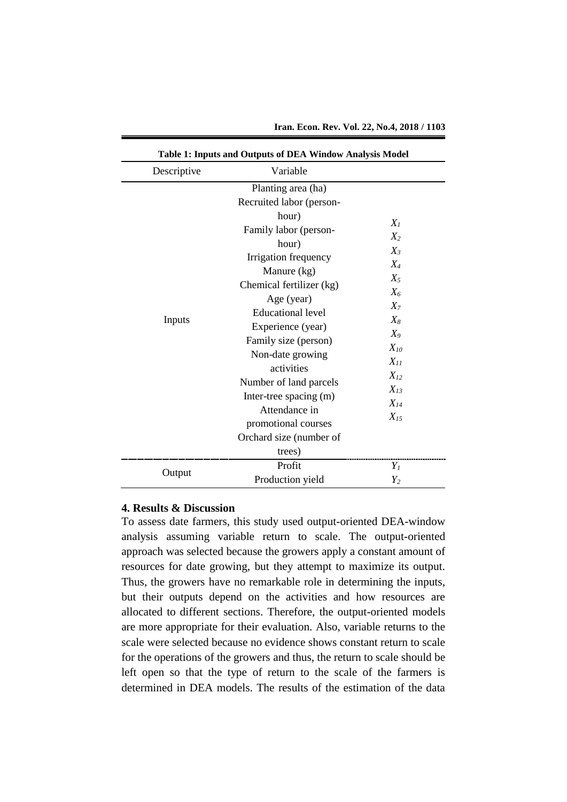| Descriptive |                                                                                                                                                                                                                                                                                                                                                                        |                                                                                                                                                       |
|-------------|------------------------------------------------------------------------------------------------------------------------------------------------------------------------------------------------------------------------------------------------------------------------------------------------------------------------------------------------------------------------|-------------------------------------------------------------------------------------------------------------------------------------------------------|
| Inputs      | Variable<br>Planting area (ha)<br>Recruited labor (person-<br>hour)<br>Family labor (person-<br>hour)<br>Irrigation frequency<br>Manure (kg)<br>Chemical fertilizer (kg)<br>Age (year)<br><b>Educational level</b><br>Experience (year)<br>Family size (person)<br>Non-date growing<br>activities<br>Number of land parcels<br>Inter-tree spacing (m)<br>Attendance in | $X_I$<br>$X_2$<br>$X_3$<br>$X_4$<br>$X_5$<br>$X_6$<br>$X_7$<br>$X_8$<br>$X_9$<br>$X_{10}$<br>$X_{11}$<br>$X_{12}$<br>$X_{13}$<br>$X_{14}$<br>$X_{15}$ |
|             | promotional courses<br>Orchard size (number of<br>trees)                                                                                                                                                                                                                                                                                                               |                                                                                                                                                       |
|             | Profit                                                                                                                                                                                                                                                                                                                                                                 | $Y_I$                                                                                                                                                 |
| Output      | Production yield                                                                                                                                                                                                                                                                                                                                                       | $Y_2$                                                                                                                                                 |

**Iran. Econ. Rev. Vol. 22, No.4, 2018 / 1103**

# **4. Results & Discussion**

To assess date farmers, this study used output-oriented DEA-window analysis assuming variable return to scale. The output-oriented approach was selected because the growers apply a constant amount of resources for date growing, but they attempt to maximize its output. Thus, the growers have no remarkable role in determining the inputs, but their outputs depend on the activities and how resources are allocated to different sections. Therefore, the output-oriented models are more appropriate for their evaluation. Also, variable returns to the scale were selected because no evidence shows constant return to scale for the operations of the growers and thus, the return to scale should be left open so that the type of return to the scale of the farmers is determined in DEA models. The results of the estimation of the data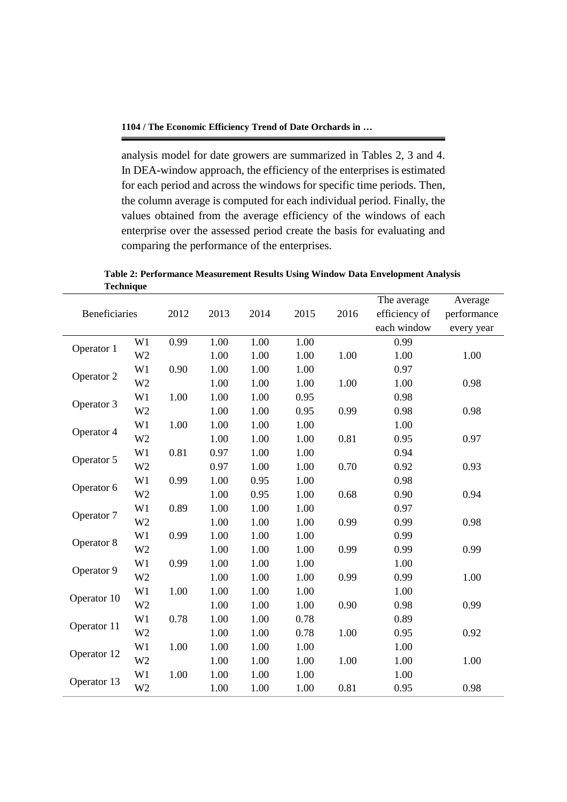analysis model for date growers are summarized in Tables 2, 3 and 4. In DEA-window approach, the efficiency of the enterprises is estimated for each period and across the windows for specific time periods. Then, the column average is computed for each individual period. Finally, the values obtained from the average efficiency of the windows of each enterprise over the assessed period create the basis for evaluating and comparing the performance of the enterprises.

**Table 2: Performance Measurement Results Using Window Data Envelopment Analysis Technique**

|               |                |      |      |      |      |      | The average   | Average     |
|---------------|----------------|------|------|------|------|------|---------------|-------------|
| Beneficiaries |                | 2012 | 2013 | 2014 | 2015 | 2016 | efficiency of | performance |
|               |                |      |      |      |      |      | each window   | every year  |
| Operator 1    | W1             | 0.99 | 1.00 | 1.00 | 1.00 |      | 0.99          |             |
|               | W <sub>2</sub> |      | 1.00 | 1.00 | 1.00 | 1.00 | 1.00          | 1.00        |
| Operator 2    | W1             | 0.90 | 1.00 | 1.00 | 1.00 |      | 0.97          |             |
|               | W <sub>2</sub> |      | 1.00 | 1.00 | 1.00 | 1.00 | 1.00          | 0.98        |
| Operator 3    | W1             | 1.00 | 1.00 | 1.00 | 0.95 |      | 0.98          |             |
|               | W <sub>2</sub> |      | 1.00 | 1.00 | 0.95 | 0.99 | 0.98          | 0.98        |
| Operator 4    | W1             | 1.00 | 1.00 | 1.00 | 1.00 |      | 1.00          |             |
|               | W <sub>2</sub> |      | 1.00 | 1.00 | 1.00 | 0.81 | 0.95          | 0.97        |
|               | W1             | 0.81 | 0.97 | 1.00 | 1.00 |      | 0.94          |             |
| Operator 5    | W <sub>2</sub> |      | 0.97 | 1.00 | 1.00 | 0.70 | 0.92          | 0.93        |
|               | W1             | 0.99 | 1.00 | 0.95 | 1.00 |      | 0.98          |             |
| Operator 6    | W <sub>2</sub> |      | 1.00 | 0.95 | 1.00 | 0.68 | 0.90          | 0.94        |
|               | W1             | 0.89 | 1.00 | 1.00 | 1.00 |      | 0.97          |             |
| Operator 7    | W <sub>2</sub> |      | 1.00 | 1.00 | 1.00 | 0.99 | 0.99          | 0.98        |
| Operator 8    | W1             | 0.99 | 1.00 | 1.00 | 1.00 |      | 0.99          |             |
|               | W <sub>2</sub> |      | 1.00 | 1.00 | 1.00 | 0.99 | 0.99          | 0.99        |
|               | W1             | 0.99 | 1.00 | 1.00 | 1.00 |      | 1.00          |             |
| Operator 9    | W <sub>2</sub> |      | 1.00 | 1.00 | 1.00 | 0.99 | 0.99          | 1.00        |
| Operator 10   | W1             | 1.00 | 1.00 | 1.00 | 1.00 |      | 1.00          |             |
|               | W <sub>2</sub> |      | 1.00 | 1.00 | 1.00 | 0.90 | 0.98          | 0.99        |
|               | W1             | 0.78 | 1.00 | 1.00 | 0.78 |      | 0.89          |             |
| Operator 11   | W <sub>2</sub> |      | 1.00 | 1.00 | 0.78 | 1.00 | 0.95          | 0.92        |
| Operator 12   | W1             | 1.00 | 1.00 | 1.00 | 1.00 |      | 1.00          |             |
|               | W <sub>2</sub> |      | 1.00 | 1.00 | 1.00 | 1.00 | 1.00          | 1.00        |
|               | W1             | 1.00 | 1.00 | 1.00 | 1.00 |      | 1.00          |             |
| Operator 13   | W <sub>2</sub> |      | 1.00 | 1.00 | 1.00 | 0.81 | 0.95          | 0.98        |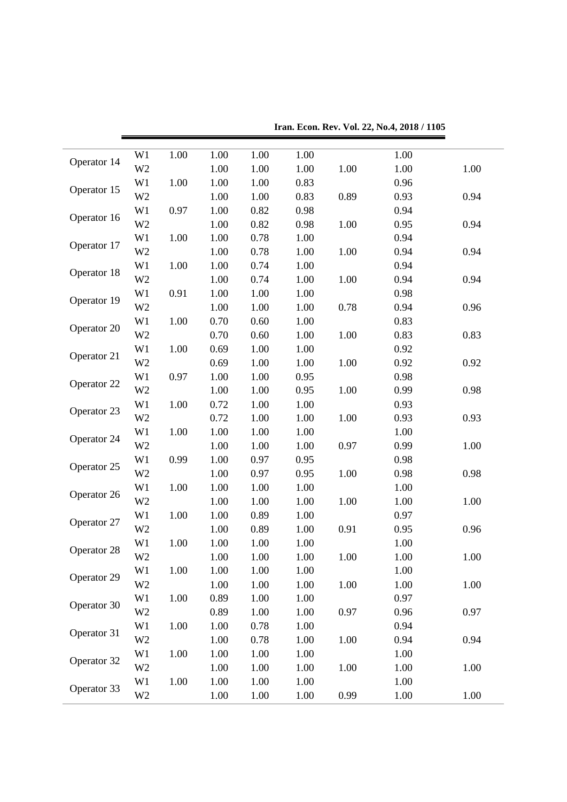| Operator 14 | W1             | 1.00 | 1.00 | 1.00 | 1.00 |      | 1.00 |      |
|-------------|----------------|------|------|------|------|------|------|------|
|             | W <sub>2</sub> |      | 1.00 | 1.00 | 1.00 | 1.00 | 1.00 | 1.00 |
| Operator 15 | W1             | 1.00 | 1.00 | 1.00 | 0.83 |      | 0.96 |      |
|             | W <sub>2</sub> |      | 1.00 | 1.00 | 0.83 | 0.89 | 0.93 | 0.94 |
| Operator 16 | W1             | 0.97 | 1.00 | 0.82 | 0.98 |      | 0.94 |      |
|             | W <sub>2</sub> |      | 1.00 | 0.82 | 0.98 | 1.00 | 0.95 | 0.94 |
| Operator 17 | W1             | 1.00 | 1.00 | 0.78 | 1.00 |      | 0.94 |      |
|             | W <sub>2</sub> |      | 1.00 | 0.78 | 1.00 | 1.00 | 0.94 | 0.94 |
| Operator 18 | W1             | 1.00 | 1.00 | 0.74 | 1.00 |      | 0.94 |      |
|             | W <sub>2</sub> |      | 1.00 | 0.74 | 1.00 | 1.00 | 0.94 | 0.94 |
|             | W1             | 0.91 | 1.00 | 1.00 | 1.00 |      | 0.98 |      |
| Operator 19 | W <sub>2</sub> |      | 1.00 | 1.00 | 1.00 | 0.78 | 0.94 | 0.96 |
|             | W1             | 1.00 | 0.70 | 0.60 | 1.00 |      | 0.83 |      |
| Operator 20 | W <sub>2</sub> |      | 0.70 | 0.60 | 1.00 | 1.00 | 0.83 | 0.83 |
|             | W1             | 1.00 | 0.69 | 1.00 | 1.00 |      | 0.92 |      |
| Operator 21 | W <sub>2</sub> |      | 0.69 | 1.00 | 1.00 | 1.00 | 0.92 | 0.92 |
| Operator 22 | W1             | 0.97 | 1.00 | 1.00 | 0.95 |      | 0.98 |      |
|             | W <sub>2</sub> |      | 1.00 | 1.00 | 0.95 | 1.00 | 0.99 | 0.98 |
| Operator 23 | W1             | 1.00 | 0.72 | 1.00 | 1.00 |      | 0.93 |      |
|             | W <sub>2</sub> |      | 0.72 | 1.00 | 1.00 | 1.00 | 0.93 | 0.93 |
|             | W1             | 1.00 | 1.00 | 1.00 | 1.00 |      | 1.00 |      |
| Operator 24 | W <sub>2</sub> |      | 1.00 | 1.00 | 1.00 | 0.97 | 0.99 | 1.00 |
|             | W <sub>1</sub> | 0.99 | 1.00 | 0.97 | 0.95 |      | 0.98 |      |
| Operator 25 | W <sub>2</sub> |      | 1.00 | 0.97 | 0.95 | 1.00 | 0.98 | 0.98 |
|             | W1             | 1.00 | 1.00 | 1.00 | 1.00 |      | 1.00 |      |
| Operator 26 | W <sub>2</sub> |      | 1.00 | 1.00 | 1.00 | 1.00 | 1.00 | 1.00 |
|             | W1             | 1.00 | 1.00 | 0.89 | 1.00 |      | 0.97 |      |
| Operator 27 | W <sub>2</sub> |      | 1.00 | 0.89 | 1.00 | 0.91 | 0.95 | 0.96 |
|             | W1             | 1.00 | 1.00 | 1.00 | 1.00 |      | 1.00 |      |
| Operator 28 | W <sub>2</sub> |      | 1.00 | 1.00 | 1.00 | 1.00 | 1.00 | 1.00 |
|             | W1             | 1.00 | 1.00 | 1.00 | 1.00 |      | 1.00 |      |
| Operator 29 | W <sub>2</sub> |      | 1.00 | 1.00 | 1.00 | 1.00 | 1.00 | 1.00 |
|             | W1             | 1.00 | 0.89 | 1.00 | 1.00 |      | 0.97 |      |
| Operator 30 | W <sub>2</sub> |      | 0.89 | 1.00 | 1.00 | 0.97 | 0.96 | 0.97 |
|             | W <sub>1</sub> | 1.00 | 1.00 | 0.78 | 1.00 |      | 0.94 |      |
| Operator 31 | W <sub>2</sub> |      | 1.00 | 0.78 | 1.00 | 1.00 | 0.94 | 0.94 |
|             | W1             | 1.00 | 1.00 | 1.00 | 1.00 |      | 1.00 |      |
| Operator 32 | W <sub>2</sub> |      | 1.00 | 1.00 | 1.00 | 1.00 | 1.00 | 1.00 |
|             | W1             | 1.00 | 1.00 | 1.00 | 1.00 |      | 1.00 |      |
| Operator 33 | W <sub>2</sub> |      | 1.00 | 1.00 | 1.00 | 0.99 | 1.00 | 1.00 |

**Iran. Econ. Rev. Vol. 22, No.4, 2018 / 1105**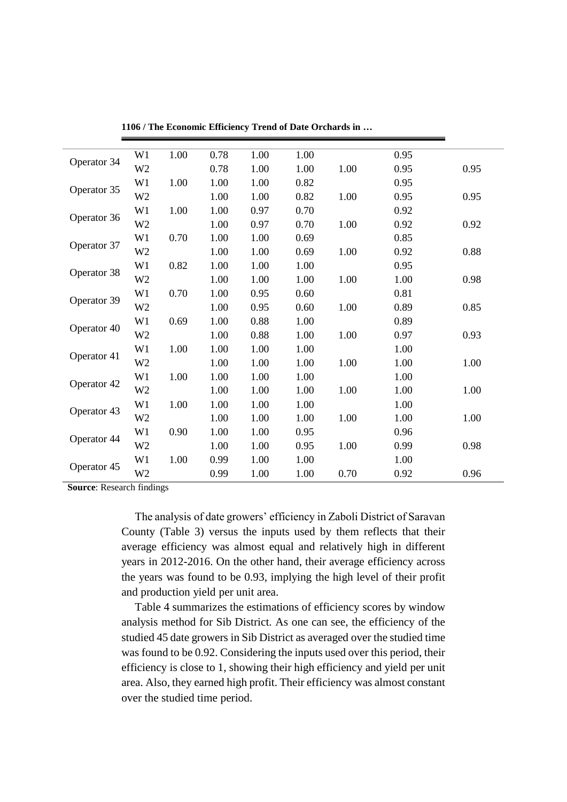| Operator 34 | W <sub>1</sub> | 1.00 | 0.78 | 1.00 | 1.00 |      | 0.95 |      |
|-------------|----------------|------|------|------|------|------|------|------|
|             | W <sub>2</sub> |      | 0.78 | 1.00 | 1.00 | 1.00 | 0.95 | 0.95 |
|             | W1             | 1.00 | 1.00 | 1.00 | 0.82 |      | 0.95 |      |
| Operator 35 | W <sub>2</sub> |      | 1.00 | 1.00 | 0.82 | 1.00 | 0.95 | 0.95 |
| Operator 36 | W1             | 1.00 | 1.00 | 0.97 | 0.70 |      | 0.92 |      |
|             | W <sub>2</sub> |      | 1.00 | 0.97 | 0.70 | 1.00 | 0.92 | 0.92 |
| Operator 37 | W <sub>1</sub> | 0.70 | 1.00 | 1.00 | 0.69 |      | 0.85 |      |
|             | W <sub>2</sub> |      | 1.00 | 1.00 | 0.69 | 1.00 | 0.92 | 0.88 |
| Operator 38 | W <sub>1</sub> | 0.82 | 1.00 | 1.00 | 1.00 |      | 0.95 |      |
|             | W <sub>2</sub> |      | 1.00 | 1.00 | 1.00 | 1.00 | 1.00 | 0.98 |
|             | W1             | 0.70 | 1.00 | 0.95 | 0.60 |      | 0.81 |      |
| Operator 39 | W <sub>2</sub> |      | 1.00 | 0.95 | 0.60 | 1.00 | 0.89 | 0.85 |
| Operator 40 | W <sub>1</sub> | 0.69 | 1.00 | 0.88 | 1.00 |      | 0.89 |      |
|             | W <sub>2</sub> |      | 1.00 | 0.88 | 1.00 | 1.00 | 0.97 | 0.93 |
| Operator 41 | W <sub>1</sub> | 1.00 | 1.00 | 1.00 | 1.00 |      | 1.00 |      |
|             | W <sub>2</sub> |      | 1.00 | 1.00 | 1.00 | 1.00 | 1.00 | 1.00 |
| Operator 42 | W <sub>1</sub> | 1.00 | 1.00 | 1.00 | 1.00 |      | 1.00 |      |
|             | W <sub>2</sub> |      | 1.00 | 1.00 | 1.00 | 1.00 | 1.00 | 1.00 |
| Operator 43 | W1             | 1.00 | 1.00 | 1.00 | 1.00 |      | 1.00 |      |
|             | W <sub>2</sub> |      | 1.00 | 1.00 | 1.00 | 1.00 | 1.00 | 1.00 |
| Operator 44 | W <sub>1</sub> | 0.90 | 1.00 | 1.00 | 0.95 |      | 0.96 |      |
|             | W <sub>2</sub> |      | 1.00 | 1.00 | 0.95 | 1.00 | 0.99 | 0.98 |
| Operator 45 | W <sub>1</sub> | 1.00 | 0.99 | 1.00 | 1.00 |      | 1.00 |      |
|             | W <sub>2</sub> |      | 0.99 | 1.00 | 1.00 | 0.70 | 0.92 | 0.96 |

**1106 / The Economic Efficiency Trend of Date Orchards in …**

**Source**: Research findings

The analysis of date growers' efficiency in Zaboli District of Saravan County (Table 3) versus the inputs used by them reflects that their average efficiency was almost equal and relatively high in different years in 2012-2016. On the other hand, their average efficiency across the years was found to be 0.93, implying the high level of their profit and production yield per unit area.

Table 4 summarizes the estimations of efficiency scores by window analysis method for Sib District. As one can see, the efficiency of the studied 45 date growers in Sib District as averaged over the studied time was found to be 0.92. Considering the inputs used over this period, their efficiency is close to 1, showing their high efficiency and yield per unit area. Also, they earned high profit. Their efficiency was almost constant over the studied time period.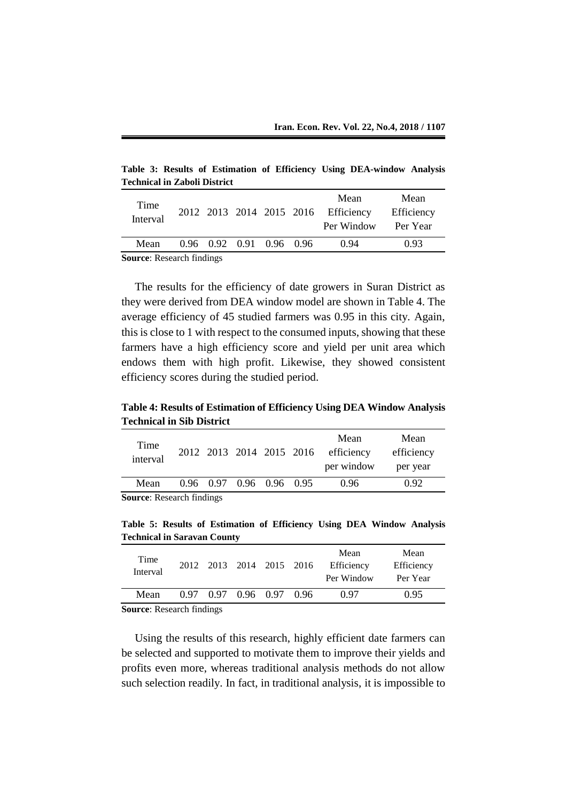**Table 3: Results of Estimation of Efficiency Using DEA-window Analysis Technical in Zaboli District**

| Time<br>Interval                 |  |  |                          |  |  | Mean<br>2012 2013 2014 2015 2016 Efficiency<br>Per Window | Mean<br>Efficiency<br>Per Year |
|----------------------------------|--|--|--------------------------|--|--|-----------------------------------------------------------|--------------------------------|
| Mean                             |  |  | 0.96 0.92 0.91 0.96 0.96 |  |  | 0.94                                                      | 0.93                           |
| <b>Source: Research findings</b> |  |  |                          |  |  |                                                           |                                |

**Source**: Research findings

The results for the efficiency of date growers in Suran District as they were derived from DEA window model are shown in Table 4. The average efficiency of 45 studied farmers was 0.95 in this city. Again, this is close to 1 with respect to the consumed inputs, showing that these farmers have a high efficiency score and yield per unit area which endows them with high profit. Likewise, they showed consistent efficiency scores during the studied period.

**Table 4: Results of Estimation of Efficiency Using DEA Window Analysis Technical in Sib District**

| Time<br>interval                 |  |  | 2012 2013 2014 2015 2016 |  |  | Mean<br>efficiency<br>per window | Mean<br>efficiency<br>per year |
|----------------------------------|--|--|--------------------------|--|--|----------------------------------|--------------------------------|
| Mean                             |  |  | 0.96 0.97 0.96 0.96 0.95 |  |  | 0.96                             | 0.92                           |
| <b>Source:</b> Research findings |  |  |                          |  |  |                                  |                                |

**Table 5: Results of Estimation of Efficiency Using DEA Window Analysis Technical in Saravan County**

| Time<br>Interval                                            |  | 2012 2013 2014 2015 2016 |  | Mean<br>Efficiency<br>Per Window | Mean<br>Efficiency<br>Per Year |
|-------------------------------------------------------------|--|--------------------------|--|----------------------------------|--------------------------------|
| Mean                                                        |  | 0.97 0.97 0.96 0.97 0.96 |  | 0.97                             | 0.95                           |
| $C_1, \ldots, C_n, C_n, \ldots, C_n, C_n, C_1, \ldots, C_n$ |  |                          |  |                                  |                                |

**Source**: Research findings

Using the results of this research, highly efficient date farmers can be selected and supported to motivate them to improve their yields and profits even more, whereas traditional analysis methods do not allow such selection readily. In fact, in traditional analysis, it is impossible to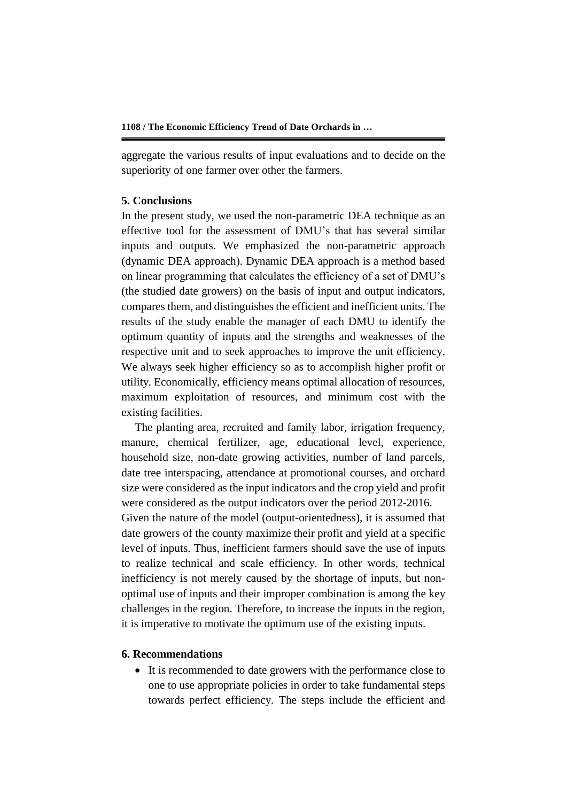aggregate the various results of input evaluations and to decide on the superiority of one farmer over other the farmers.

#### **5. Conclusions**

In the present study, we used the non-parametric DEA technique as an effective tool for the assessment of DMU's that has several similar inputs and outputs. We emphasized the non-parametric approach (dynamic DEA approach). Dynamic DEA approach is a method based on linear programming that calculates the efficiency of a set of DMU's (the studied date growers) on the basis of input and output indicators, compares them, and distinguishes the efficient and inefficient units. The results of the study enable the manager of each DMU to identify the optimum quantity of inputs and the strengths and weaknesses of the respective unit and to seek approaches to improve the unit efficiency. We always seek higher efficiency so as to accomplish higher profit or utility. Economically, efficiency means optimal allocation of resources, maximum exploitation of resources, and minimum cost with the existing facilities.

The planting area, recruited and family labor, irrigation frequency, manure, chemical fertilizer, age, educational level, experience, household size, non-date growing activities, number of land parcels, date tree interspacing, attendance at promotional courses, and orchard size were considered as the input indicators and the crop yield and profit were considered as the output indicators over the period 2012-2016. Given the nature of the model (output-orientedness), it is assumed that date growers of the county maximize their profit and yield at a specific level of inputs. Thus, inefficient farmers should save the use of inputs to realize technical and scale efficiency. In other words, technical inefficiency is not merely caused by the shortage of inputs, but nonoptimal use of inputs and their improper combination is among the key challenges in the region. Therefore, to increase the inputs in the region, it is imperative to motivate the optimum use of the existing inputs.

#### **6. Recommendations**

• It is recommended to date growers with the performance close to one to use appropriate policies in order to take fundamental steps towards perfect efficiency. The steps include the efficient and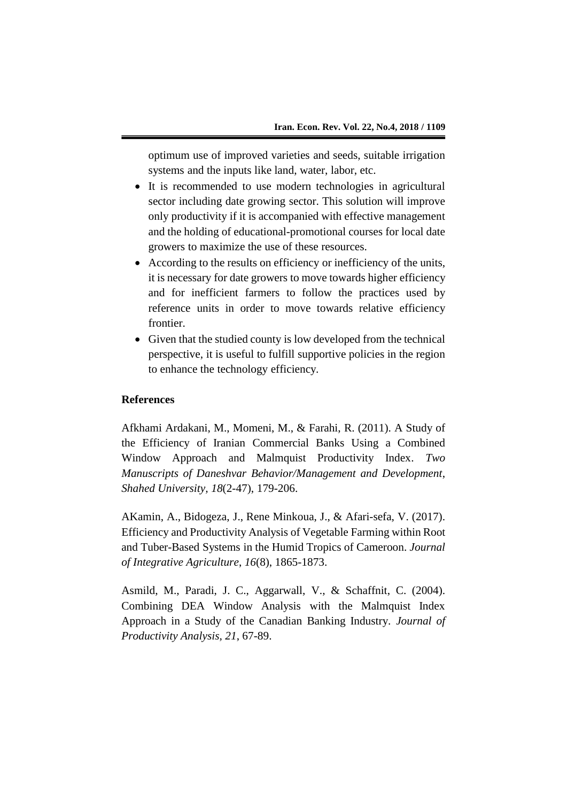optimum use of improved varieties and seeds, suitable irrigation systems and the inputs like land, water, labor, etc.

- It is recommended to use modern technologies in agricultural sector including date growing sector. This solution will improve only productivity if it is accompanied with effective management and the holding of educational-promotional courses for local date growers to maximize the use of these resources.
- According to the results on efficiency or inefficiency of the units, it is necessary for date growers to move towards higher efficiency and for inefficient farmers to follow the practices used by reference units in order to move towards relative efficiency frontier.
- Given that the studied county is low developed from the technical perspective, it is useful to fulfill supportive policies in the region to enhance the technology efficiency.

#### **References**

Afkhami Ardakani, M., Momeni, M., & Farahi, R. (2011). A Study of the Efficiency of Iranian Commercial Banks Using a Combined Window Approach and Malmquist Productivity Index. *Two Manuscripts of Daneshvar Behavior/Management and Development*, *Shahed University, 18*(2-47), 179-206.

AKamin, A., Bidogeza, J., Rene Minkoua, J., & Afari-sefa, V. (2017). Efficiency and Productivity Analysis of Vegetable Farming within Root and Tuber-Based Systems in the Humid Tropics of Cameroon. *Journal of Integrative Agriculture*, *16*(8), 1865-1873.

Asmild, M., Paradi, J. C., Aggarwall, V., & Schaffnit, C. (2004). Combining DEA Window Analysis with the Malmquist Index Approach in a Study of the Canadian Banking Industry. *Journal of Productivity Analysis, 21*, 67-89.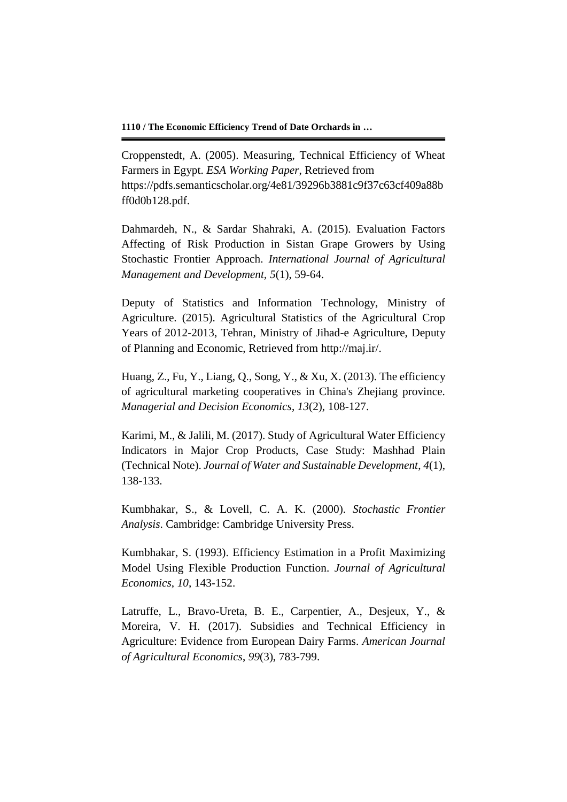Croppenstedt, A. (2005). Measuring, Technical Efficiency of Wheat Farmers in Egypt. *ESA Working Paper*, Retrieved from https://pdfs.semanticscholar.org/4e81/39296b3881c9f37c63cf409a88b ff0d0b128.pdf.

Dahmardeh, N., & Sardar Shahraki, A. (2015). Evaluation Factors Affecting of Risk Production in Sistan Grape Growers by Using Stochastic Frontier Approach. *International Journal of Agricultural Management and Development, 5*(1), 59-64.

Deputy of Statistics and Information Technology, Ministry of Agriculture. (2015). Agricultural Statistics of the Agricultural Crop Years of 2012-2013, Tehran, Ministry of Jihad-e Agriculture, Deputy of Planning and Economic, Retrieved from http://maj.ir/.

Huang, Z., Fu, Y., Liang, Q., Song, Y., & Xu, X. (2013). The efficiency of agricultural marketing cooperatives in China's Zhejiang province. *Managerial and Decision Economics*, *13*(2), 108-127.

Karimi, M., & Jalili, M. (2017). Study of Agricultural Water Efficiency Indicators in Major Crop Products, Case Study: Mashhad Plain (Technical Note). *Journal of Water and Sustainable Development*, *4*(1), 138-133.

Kumbhakar, S., & Lovell, C. A. K. (2000). *Stochastic Frontier Analysis*. Cambridge: Cambridge University Press.

Kumbhakar, S. (1993). Efficiency Estimation in a Profit Maximizing Model Using Flexible Production Function. *Journal of Agricultural Economics*, *10*, 143-152.

Latruffe, L., Bravo-Ureta, B. E., Carpentier, A., Desjeux, Y., & Moreira, V. H. (2017). Subsidies and Technical Efficiency in Agriculture: Evidence from European Dairy Farms. *American Journal of Agricultural Economics*, *99*(3), 783-799.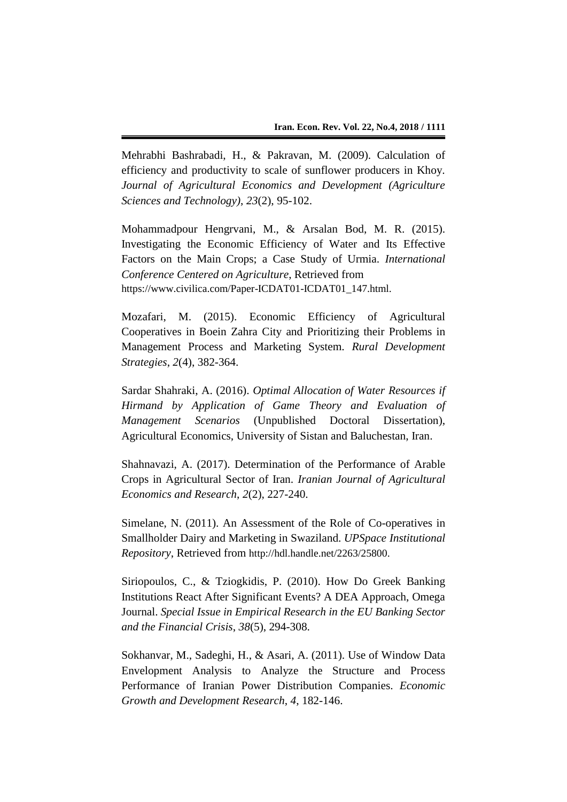Mehrabhi Bashrabadi, H., & Pakravan, M. (2009). Calculation of efficiency and productivity to scale of sunflower producers in Khoy. *Journal of Agricultural Economics and Development (Agriculture Sciences and Technology)*, *23*(2), 95-102.

Mohammadpour Hengrvani, M., & Arsalan Bod, M. R. (2015). Investigating the Economic Efficiency of Water and Its Effective Factors on the Main Crops; a Case Study of Urmia. *International Conference Centered on Agriculture*, Retrieved from https://www.civilica.com/Paper-ICDAT01-ICDAT01\_147.html.

Mozafari, M. (2015). Economic Efficiency of Agricultural Cooperatives in Boein Zahra City and Prioritizing their Problems in Management Process and Marketing System. *Rural Development Strategies*, *2*(4), 382-364.

Sardar Shahraki, A. (2016). *Optimal Allocation of Water Resources if Hirmand by Application of Game Theory and Evaluation of Management Scenarios* (Unpublished Doctoral Dissertation), Agricultural Economics, University of Sistan and Baluchestan, Iran.

Shahnavazi, A. (2017). Determination of the Performance of Arable Crops in Agricultural Sector of Iran. *Iranian Journal of Agricultural Economics and Research*, *2*(2), 227-240.

Simelane, N. (2011). An Assessment of the Role of Co-operatives in Smallholder Dairy and Marketing in Swaziland. *UPSpace Institutional Repository*, Retrieved from http://hdl.handle.net/2263/25800.

Siriopoulos, C., & Tziogkidis, P. (2010). How Do Greek Banking Institutions React After Significant Events? A DEA Approach, Omega Journal. *Special Issue in Empirical Research in the EU Banking Sector and the Financial Crisis*, *38*(5), 294-308.

Sokhanvar, M., Sadeghi, H., & Asari, A. (2011). Use of Window Data Envelopment Analysis to Analyze the Structure and Process Performance of Iranian Power Distribution Companies. *Economic Growth and Development Research*, *4*, 182-146.